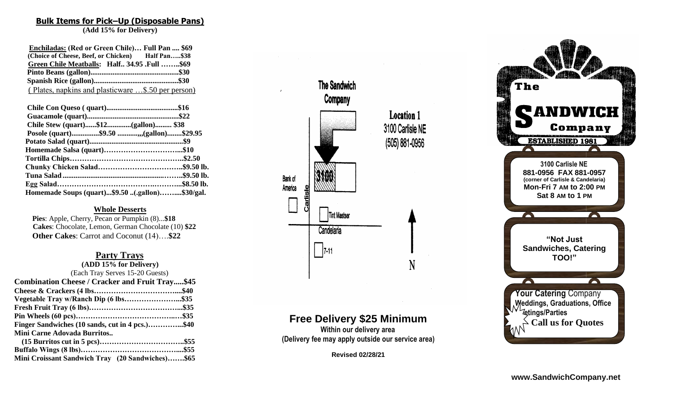# **Bulk Items for Pick–Up (Disposable Pans)**

013

**(Add 15% for Delivery)**

| Enchiladas: (Red or Green Chile) Full Pan  \$69    |  |
|----------------------------------------------------|--|
| (Choice of Cheese, Beef, or Chicken) Half Pan\$38  |  |
| Green Chile Meatballs: Half 34.95 .Full \$69       |  |
|                                                    |  |
|                                                    |  |
| (Plates, napkins and plasticware \$.50 per person) |  |

| Chile Stew (quart)\$12(gallon) \$38             |  |
|-------------------------------------------------|--|
| Posole (quart)\$9.50 ,(gallon)\$29.95           |  |
|                                                 |  |
|                                                 |  |
|                                                 |  |
|                                                 |  |
|                                                 |  |
|                                                 |  |
| Homemade Soups (quart)\$9.50 (.gallon)\$30/gal. |  |

### **Whole Desserts**

 **Pies**: Apple, Cherry, Pecan or Pumpkin (8)...**\$18 Cakes**: Chocolate, Lemon, German Chocolate (1 0 ) **\$22 Other Cakes**: Carrot and Coconut (14)….**\$22**

# **Party Trays**

| (ADD 15% for Delivery)                                 |  |
|--------------------------------------------------------|--|
| (Each Tray Serves 15-20 Guests)                        |  |
| <b>Combination Cheese / Cracker and Fruit Tray\$45</b> |  |
|                                                        |  |
| Vegetable Tray w/Ranch Dip (6 lbs\$35                  |  |
|                                                        |  |
|                                                        |  |
| Finger Sandwiches (10 sands, cut in 4 pcs.)\$40        |  |
| Mini Carne Adovada Burritos                            |  |
|                                                        |  |
|                                                        |  |
| Mini Croissant Sandwich Tray (20 Sandwiches)\$65       |  |



# **Free Delivery \$25 Minimum**

**Within our delivery area (Delivery fee may apply outside our service area)**

**Revised 0 2 /28 /21**